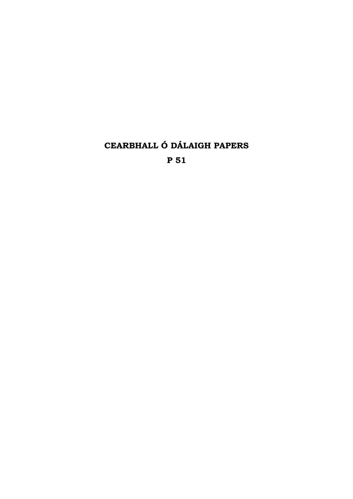**CEARBHALL Ó DÁLAIGH PAPERS P 51**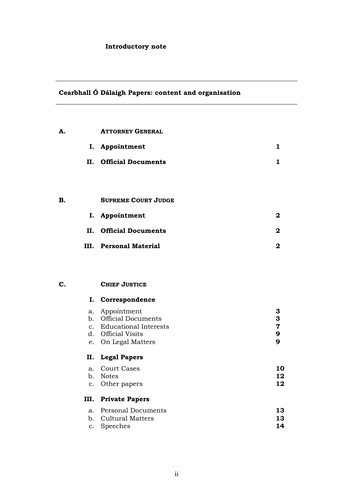## **Introductory note**

# **Cearbhall Ó Dálaigh Papers: content and organisation**

| A. |          | <b>ATTORNEY GENERAL</b>                  |                              |
|----|----------|------------------------------------------|------------------------------|
|    |          | I. Appointment                           | 1                            |
|    | II.      | <b>Official Documents</b>                | $\mathbf{1}$                 |
|    |          |                                          |                              |
|    |          |                                          |                              |
| B. |          | <b>SUPREME COURT JUDGE</b>               |                              |
|    | I.       | Appointment                              | 2                            |
|    | II.      | <b>Official Documents</b>                | 2                            |
|    | III.     | <b>Personal Material</b>                 | 2                            |
|    |          |                                          |                              |
|    |          |                                          |                              |
| C. |          | <b>CHIEF JUSTICE</b>                     |                              |
|    | I.       | Correspondence                           |                              |
|    | а.       | Appointment<br><b>Official Documents</b> | 3                            |
|    | b.<br>c. | <b>Educational Interests</b>             | 3<br>$\overline{\mathbf{7}}$ |
|    |          | d. Official Visits                       | 9<br>$\mathbf{9}$            |
|    |          | e. On Legal Matters                      |                              |
|    | II.      | <b>Legal Papers</b>                      |                              |
|    | a.       | <b>Court Cases</b>                       | 10                           |
|    | b.<br>c. | <b>Notes</b><br>Other papers             | 12<br>12                     |
|    | III.     | <b>Private Papers</b>                    |                              |
|    |          | a. Personal Documents                    | 13                           |
|    | b.<br>c. | <b>Cultural Matters</b><br>Speeches      | 13<br>14                     |
|    |          |                                          |                              |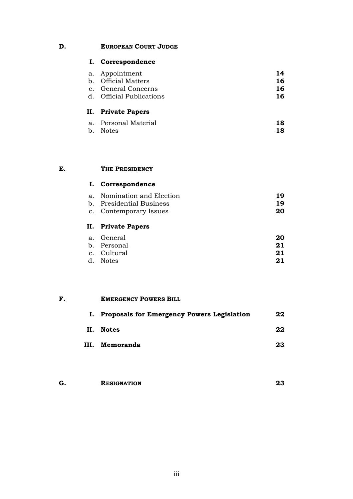### **D. EUROPEAN COURT JUDGE**

#### **I. Correspondence**

| II. Private Papers       |    |
|--------------------------|----|
| d. Official Publications | 16 |
| c. General Concerns      | 16 |
| b. Official Matters      | 16 |
| a. Appointment           | 14 |
|                          |    |

| a. Personal Material | 18 |
|----------------------|----|
| b. Notes             | 18 |

#### **E. THE PRESIDENCY**

# **I. Correspondence** a. Nomination and Election **19** b. Presidential Business **19** c. Contemporary Issues **20 II. Private Papers** a. General **20**

| a. uenerai  | ZU |
|-------------|----|
| b. Personal | 21 |
| c. Cultural | 21 |
| d. Notes    | 21 |
|             |    |

# **F. EMERGENCY POWERS BILL I. Proposals for Emergency Powers Legislation 22 II. Notes 22 III. Memoranda 23**

| G. | <b>RESIGNATION</b> |  |
|----|--------------------|--|
|    |                    |  |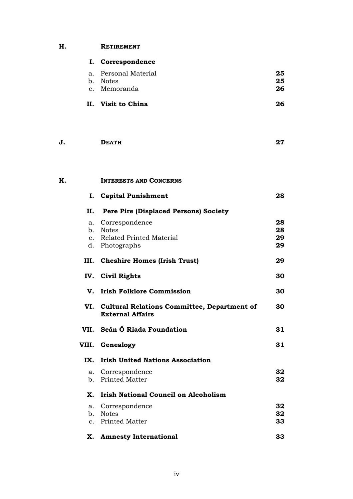## **H. RETIREMENT**

|    |                | I. Correspondence                                                          |    |
|----|----------------|----------------------------------------------------------------------------|----|
|    | a.             | Personal Material                                                          | 25 |
|    |                | b. Notes                                                                   | 25 |
|    |                | c. Memoranda                                                               | 26 |
|    |                | II. Visit to China                                                         | 26 |
| J. |                | <b>DEATH</b>                                                               | 27 |
| K. |                | <b>INTERESTS AND CONCERNS</b>                                              |    |
|    |                | I. Capital Punishment                                                      | 28 |
|    | П.             | <b>Pere Pire (Displaced Persons) Society</b>                               |    |
|    | a.             | Correspondence                                                             | 28 |
|    |                | b. Notes                                                                   | 28 |
|    |                | c. Related Printed Material                                                | 29 |
|    |                | d. Photographs                                                             | 29 |
|    |                | III. Cheshire Homes (Irish Trust)                                          | 29 |
|    |                | IV. Civil Rights                                                           | 30 |
|    |                | V. Irish Folklore Commission                                               | 30 |
|    |                | VI. Cultural Relations Committee, Department of<br><b>External Affairs</b> | 30 |
|    |                | VII. Seán Ó Riada Foundation                                               | 31 |
|    | VIII.          | Genealogy                                                                  | 31 |
|    | IX.            | <b>Irish United Nations Association</b>                                    |    |
|    | a.             | Correspondence                                                             | 32 |
|    | b.             | <b>Printed Matter</b>                                                      | 32 |
|    | Х.             | <b>Irish National Council on Alcoholism</b>                                |    |
|    | a.             | Correspondence                                                             | 32 |
|    | b.             | <b>Notes</b>                                                               | 32 |
|    | $\mathbf{c}$ . | <b>Printed Matter</b>                                                      | 33 |
|    | Х.             | <b>Amnesty International</b>                                               | 33 |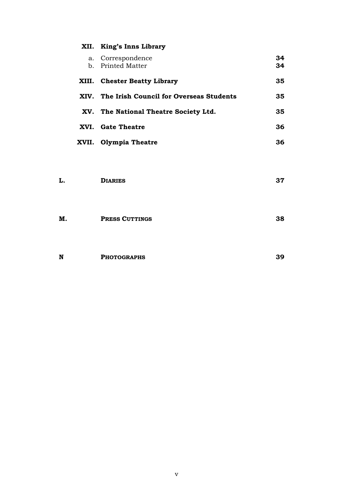|       | XII. King's Inns Library                |          |
|-------|-----------------------------------------|----------|
|       | a. Correspondence<br>b. Printed Matter  | 34<br>34 |
| XIII. | <b>Chester Beatty Library</b>           | 35       |
| XIV.  | The Irish Council for Overseas Students | 35       |
|       | XV. The National Theatre Society Ltd.   | 35       |
|       | XVI. Gate Theatre                       | 36       |
| XVII. | <b>Olympia Theatre</b>                  | 36       |

| L. | <b>DIARIES</b>        | 37 |
|----|-----------------------|----|
| М. | <b>PRESS CUTTINGS</b> | 38 |

| N<br><b>PHOTOGRAPHS</b> | 2C |
|-------------------------|----|
|-------------------------|----|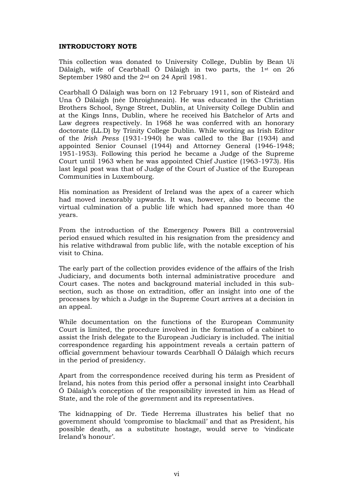#### **INTRODUCTORY NOTE**

This collection was donated to University College, Dublin by Bean Uí Dálaigh, wife of Cearbhall Ó Dálaigh in two parts, the 1st on 26 September 1980 and the 2nd on 24 April 1981.

Cearbhall Ó Dálaigh was born on 12 February 1911, son of Risteárd and Una Ó Dálaigh (née Dhroighneain). He was educated in the Christian Brothers School, Synge Street, Dublin, at University College Dublin and at the Kings Inns, Dublin, where he received his Batchelor of Arts and Law degrees respectively. In 1968 he was conferred with an honorary doctorate (LL.D) by Trinity College Dublin. While working as Irish Editor of the *Irish Press* (1931-1940) he was called to the Bar (1934) and appointed Senior Counsel (1944) and Attorney General (1946-1948; 1951-1953). Following this period he became a Judge of the Supreme Court until 1963 when he was appointed Chief Justice (1963-1973). His last legal post was that of Judge of the Court of Justice of the European Communities in Luxembourg.

His nomination as President of Ireland was the apex of a career which had moved inexorably upwards. It was, however, also to become the virtual culmination of a public life which had spanned more than 40 years.

From the introduction of the Emergency Powers Bill a controversial period ensued which resulted in his resignation from the presidency and his relative withdrawal from public life, with the notable exception of his visit to China.

The early part of the collection provides evidence of the affairs of the Irish Judiciary, and documents both internal administrative procedure and Court cases. The notes and background material included in this subsection, such as those on extradition, offer an insight into one of the processes by which a Judge in the Supreme Court arrives at a decision in an appeal.

While documentation on the functions of the European Community Court is limited, the procedure involved in the formation of a cabinet to assist the Irish delegate to the European Judiciary is included. The initial correspondence regarding his appointment reveals a certain pattern of official government behaviour towards Cearbhall Ó Dálaigh which recurs in the period of presidency.

Apart from the correspondence received during his term as President of Ireland, his notes from this period offer a personal insight into Cearbhall Ó Dálaigh's conception of the responsibility invested in him as Head of State, and the role of the government and its representatives.

The kidnapping of Dr. Tiede Herrema illustrates his belief that no government should 'compromise to blackmail' and that as President, his possible death, as a substitute hostage, would serve to 'vindicate Ireland's honour'.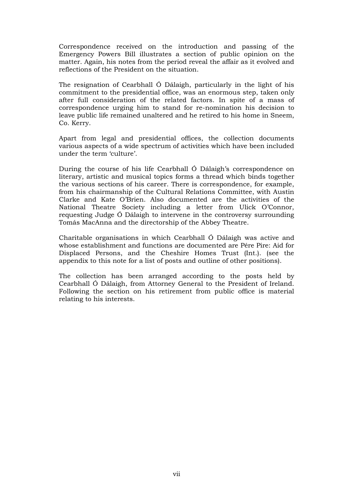Correspondence received on the introduction and passing of the Emergency Powers Bill illustrates a section of public opinion on the matter. Again, his notes from the period reveal the affair as it evolved and reflections of the President on the situation.

The resignation of Cearbhall Ó Dálaigh, particularly in the light of his commitment to the presidential office, was an enormous step, taken only after full consideration of the related factors. In spite of a mass of correspondence urging him to stand for re-nomination his decision to leave public life remained unaltered and he retired to his home in Sneem, Co. Kerry.

Apart from legal and presidential offices, the collection documents various aspects of a wide spectrum of activities which have been included under the term 'culture'.

During the course of his life Cearbhall Ó Dálaigh's correspondence on literary, artistic and musical topics forms a thread which binds together the various sections of his career. There is correspondence, for example, from his chairmanship of the Cultural Relations Committee, with Austin Clarke and Kate O'Brien. Also documented are the activities of the National Theatre Society including a letter from Ulick O'Connor, requesting Judge Ó Dálaigh to intervene in the controversy surrounding Tomás MacAnna and the directorship of the Abbey Theatre.

Charitable organisations in which Cearbhall Ó Dálaigh was active and whose establishment and functions are documented are Pére Pire: Aid for Displaced Persons, and the Cheshire Homes Trust (Int.). (see the appendix to this note for a list of posts and outline of other positions).

The collection has been arranged according to the posts held by Cearbhall Ó Dálaigh, from Attorney General to the President of Ireland. Following the section on his retirement from public office is material relating to his interests.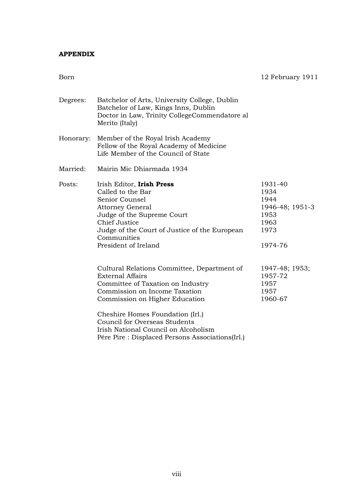### **APPENDIX**

| w<br>۰. |
|---------|
|---------|

12 February 1911

| Degrees:  | Batchelor of Arts, University College, Dublin<br>Batchelor of Law, Kings Inns, Dublin<br>Doctor in Law, Trinity CollegeCommendatore al<br>Merito (Italy)                                                                           |                                                                               |
|-----------|------------------------------------------------------------------------------------------------------------------------------------------------------------------------------------------------------------------------------------|-------------------------------------------------------------------------------|
| Honorary: | Member of the Royal Irish Academy<br>Fellow of the Royal Academy of Medicine<br>Life Member of the Council of State                                                                                                                |                                                                               |
| Married:  | Mairin Mic Dhiarmada 1934                                                                                                                                                                                                          |                                                                               |
| Posts:    | Irish Editor, Irish Press<br>Called to the Bar<br>Senior Counsel<br><b>Attorney General</b><br>Judge of the Supreme Court<br>Chief Justice<br>Judge of the Court of Justice of the European<br>Communities<br>President of Ireland | 1931-40<br>1934<br>1944<br>1946-48; 1951-3<br>1953<br>1963<br>1973<br>1974-76 |
|           | Cultural Relations Committee, Department of<br><b>External Affairs</b><br>Committee of Taxation on Industry<br>Commission on Income Taxation<br>Commission on Higher Education                                                     | 1947-48; 1953;<br>1957-72<br>1957<br>1957<br>1960-67                          |
|           | Cheshire Homes Foundation (Irl.)<br>Council for Overseas Students<br>Irish National Council on Alcoholism<br>Pére Pire : Displaced Persons Associations(Irl.)                                                                      |                                                                               |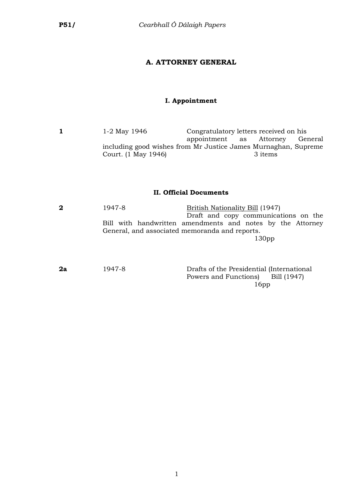### **A. ATTORNEY GENERAL**

### **I. Appointment**

**1** 1-2 May 1946 Congratulatory letters received on his appointment as Attorney General including good wishes from Mr Justice James Murnaghan, Supreme Court.  $(1$  May 1946)

#### **II. Official Documents**

**2** 1947-8 British Nationality Bill (1947) Draft and copy communications on the Bill with handwritten amendments and notes by the Attorney General, and associated memoranda and reports. 130pp

**2a** 1947-8 Drafts of the Presidential (International Powers and Functions) Bill (1947) 16pp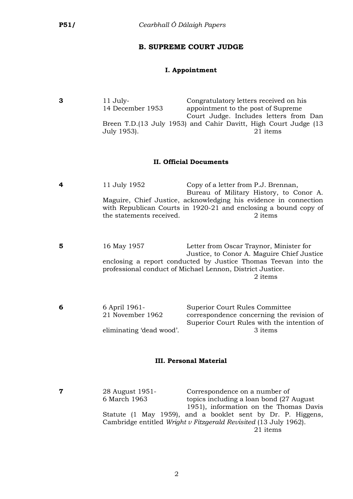#### **B. SUPREME COURT JUDGE**

### **I. Appointment**

**3** 11 July- Congratulatory letters received on his 14 December 1953 appointment to the post of Supreme Court Judge. Includes letters from Dan Breen T.D.(13 July 1953) and Cahir Davitt, High Court Judge (13 July 1953). 21 items

#### **II. Official Documents**

- **4** 11 July 1952 Copy of a letter from P.J. Brennan, Bureau of Military History, to Conor A. Maguire, Chief Justice, acknowledging his evidence in connection with Republican Courts in 1920-21 and enclosing a bound copy of the statements received. 2 items
- **5** 16 May 1957 Letter from Oscar Traynor, Minister for Justice, to Conor A. Maguire Chief Justice enclosing a report conducted by Justice Thomas Teevan into the professional conduct of Michael Lennon, District Justice. 2 items

| 6 | 6 April 1961-            | Superior Court Rules Committee             |
|---|--------------------------|--------------------------------------------|
|   | 21 November 1962         | correspondence concerning the revision of  |
|   |                          | Superior Court Rules with the intention of |
|   | eliminating 'dead wood'. | 3 items                                    |

#### **III. Personal Material**

**7** 28 August 1951-<br>6 March 1963 **1963** topics including a loan bond (27 topics including a loan bond (27 August 1951), information on the Thomas Davis Statute (1 May 1959), and a booklet sent by Dr. P. Higgens, Cambridge entitled *Wright v Fitzgerald Revisited* (13 July 1962). 21 items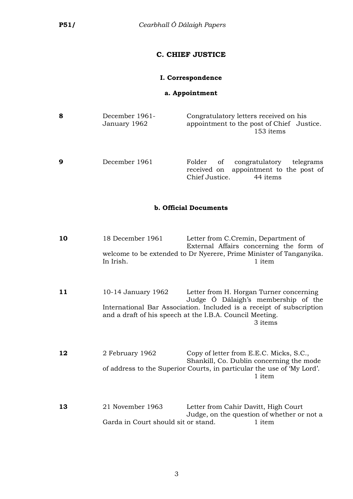### **C. CHIEF JUSTICE**

### **I. Correspondence**

### **a. Appointment**

| 8 | December 1961-<br>January 1962 | Congratulatory letters received on his<br>appointment to the post of Chief Justice.<br>153 items              |
|---|--------------------------------|---------------------------------------------------------------------------------------------------------------|
| ą | December 1961                  | Folder of congratulatory<br>telegrams<br>received on appointment to the post of<br>Chief Justice.<br>44 items |

### **b. Official Documents**

- **10** 18 December 1961 Letter from C.Cremin, Department of External Affairs concerning the form of welcome to be extended to Dr Nyerere, Prime Minister of Tanganyika. In Irish. 1 item
- **11** 10-14 January 1962 Letter from H. Horgan Turner concerning Judge Ó Dálaigh's membership of the International Bar Association. Included is a receipt of subscription and a draft of his speech at the I.B.A. Council Meeting. 3 items
- **12** 2 February 1962 Copy of letter from E.E.C. Micks, S.C., Shankill, Co. Dublin concerning the mode of address to the Superior Courts, in particular the use of 'My Lord'. 1 item
- **13** 21 November 1963 Letter from Cahir Davitt, High Court Judge, on the question of whether or not a Garda in Court should sit or stand. 1 item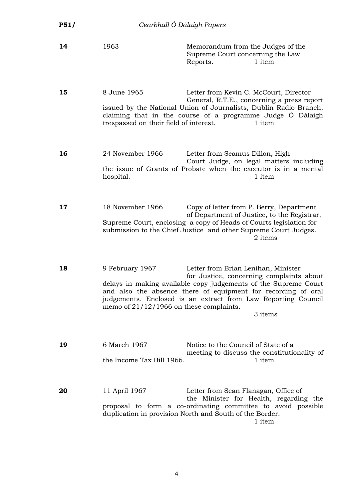| P51/ | Cearbhall Ó Dálaigh Papers                                   |                                                                                                                                                                                                                                                                                                 |
|------|--------------------------------------------------------------|-------------------------------------------------------------------------------------------------------------------------------------------------------------------------------------------------------------------------------------------------------------------------------------------------|
| 14   | 1963                                                         | Memorandum from the Judges of the<br>Supreme Court concerning the Law<br>1 item<br>Reports.                                                                                                                                                                                                     |
| 15   | 8 June 1965<br>trespassed on their field of interest.        | Letter from Kevin C. McCourt, Director<br>General, R.T.E., concerning a press report<br>issued by the National Union of Journalists, Dublin Radio Branch,<br>claiming that in the course of a programme Judge O Dálaigh<br>1 item                                                               |
| 16   | 24 November 1966<br>hospital.                                | Letter from Seamus Dillon, High<br>Court Judge, on legal matters including<br>the issue of Grants of Probate when the executor is in a mental<br>1 item                                                                                                                                         |
| 17   | 18 November 1966                                             | Copy of letter from P. Berry, Department<br>of Department of Justice, to the Registrar,<br>Supreme Court, enclosing a copy of Heads of Courts legislation for<br>submission to the Chief Justice and other Supreme Court Judges.<br>2 items                                                     |
| 18   | 9 February 1967<br>memo of $21/12/1966$ on these complaints. | Letter from Brian Lenihan, Minister<br>for Justice, concerning complaints about<br>delays in making available copy judgements of the Supreme Court<br>and also the absence there of equipment for recording of oral<br>judgements. Enclosed is an extract from Law Reporting Council<br>3 items |
| 19   | 6 March 1967<br>the Income Tax Bill 1966.                    | Notice to the Council of State of a<br>meeting to discuss the constitutionality of<br>1 item                                                                                                                                                                                                    |
| 20   | 11 April 1967                                                | Letter from Sean Flanagan, Office of<br>the Minister for Health, regarding the<br>proposal to form a co-ordinating committee to avoid possible<br>duplication in provision North and South of the Border.<br>1 item                                                                             |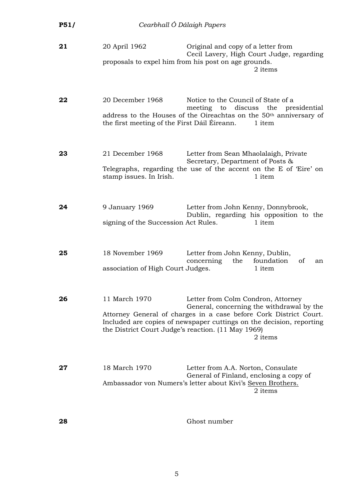| P51/ | Cearbhall Ó Dálaigh Papers                                          |                                                                                                                                                                                                                                         |
|------|---------------------------------------------------------------------|-----------------------------------------------------------------------------------------------------------------------------------------------------------------------------------------------------------------------------------------|
| 21   | 20 April 1962                                                       | Original and copy of a letter from<br>Cecil Lavery, High Court Judge, regarding<br>proposals to expel him from his post on age grounds.<br>2 items                                                                                      |
| 22   | 20 December 1968<br>the first meeting of the First Dáil Éireann.    | Notice to the Council of State of a<br>meeting to discuss the presidential<br>address to the Houses of the Oireachtas on the 50 <sup>th</sup> anniversary of<br>1 item                                                                  |
| 23   | 21 December 1968<br>stamp issues. In Irish.                         | Letter from Sean Mhaolalaigh, Private<br>Secretary, Department of Posts &<br>Telegraphs, regarding the use of the accent on the E of 'Eire' on<br>1 item                                                                                |
| 24   | 9 January 1969<br>signing of the Succession Act Rules.              | Letter from John Kenny, Donnybrook,<br>Dublin, regarding his opposition to the<br>1 item                                                                                                                                                |
| 25   | 18 November 1969<br>association of High Court Judges.               | Letter from John Kenny, Dublin,<br>concerning<br>the<br>foundation<br>οf<br>an<br>1 item                                                                                                                                                |
| 26   | 11 March 1970<br>the District Court Judge's reaction. (11 May 1969) | Letter from Colm Condron, Attorney<br>General, concerning the withdrawal by the<br>Attorney General of charges in a case before Cork District Court.<br>Included are copies of newspaper cuttings on the decision, reporting<br>2 items |
| 27   | 18 March 1970                                                       | Letter from A.A. Norton, Consulate<br>General of Finland, enclosing a copy of<br>Ambassador von Numers's letter about Kivi's Seven Brothers.<br>2 items                                                                                 |

**28** Ghost number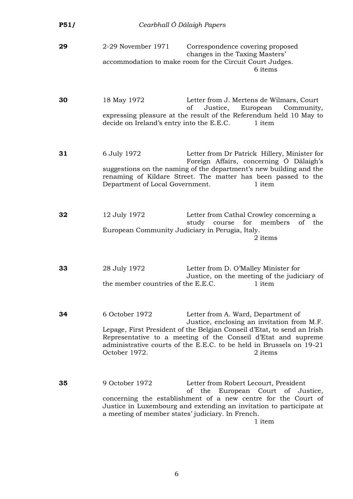| P51/ | Cearbhall Ó Dálaigh Papers                                          |                                                                                                                                                                                                                                                                                                                |
|------|---------------------------------------------------------------------|----------------------------------------------------------------------------------------------------------------------------------------------------------------------------------------------------------------------------------------------------------------------------------------------------------------|
| 29   | 2-29 November 1971                                                  | Correspondence covering proposed<br>changes in the Taxing Masters'<br>accommodation to make room for the Circuit Court Judges.<br>6 items                                                                                                                                                                      |
| 30   | 18 May 1972<br>decide on Ireland's entry into the E.E.C.            | Letter from J. Mertens de Wilmars, Court<br>Justice, European<br>Community,<br>οf<br>expressing pleasure at the result of the Referendum held 10 May to<br>1 item                                                                                                                                              |
| 31   | 6 July 1972<br>Department of Local Government.                      | Letter from Dr Patrick Hillery, Minister for<br>Foreign Affairs, concerning Ó Dálaigh's<br>suggestions on the naming of the department's new building and the<br>renaming of Kildare Street. The matter has been passed to the<br>1 item                                                                       |
| 32   | 12 July 1972<br>European Community Judiciary in Perugia, Italy.     | Letter from Cathal Crowley concerning a<br>study course for members<br>of the<br>2 items                                                                                                                                                                                                                       |
| 33   | 28 July 1972                                                        | Letter from D. O'Malley Minister for<br>Justice, on the meeting of the judiciary of<br>the member countries of the E.E.C. 1 item                                                                                                                                                                               |
| 34   | 6 October 1972<br>October 1972.                                     | Letter from A. Ward, Department of<br>Justice, enclosing an invitation from M.F.<br>Lepage, First President of the Belgian Conseil d'Etat, to send an Irish<br>Representative to a meeting of the Conseil d'Etat and supreme<br>administrative courts of the E.E.C. to be held in Brussels on 19-21<br>2 items |
| 35   | 9 October 1972<br>a meeting of member states' judiciary. In French. | Letter from Robert Lecourt, President<br>European Court<br>οf<br>the<br>of Justice,<br>concerning the establishment of a new centre for the Court of<br>Justice in Luxembourg and extending an invitation to participate at<br>1 item                                                                          |

6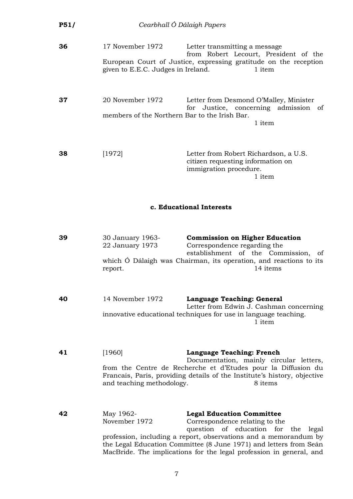| <b>P51/</b> |                                                                   | Cearbhall Ó Dálaigh Papers                                                                                                                                                                                                                                                                                                |
|-------------|-------------------------------------------------------------------|---------------------------------------------------------------------------------------------------------------------------------------------------------------------------------------------------------------------------------------------------------------------------------------------------------------------------|
| 36          | 17 November 1972<br>given to E.E.C. Judges in Ireland.            | Letter transmitting a message<br>from Robert Lecourt, President of the<br>European Court of Justice, expressing gratitude on the reception<br>1 item                                                                                                                                                                      |
| 37          | 20 November 1972<br>members of the Northern Bar to the Irish Bar. | Letter from Desmond O'Malley, Minister<br>for Justice, concerning admission<br>of<br>1 item                                                                                                                                                                                                                               |
| 38          | [1972]                                                            | Letter from Robert Richardson, a U.S.<br>citizen requesting information on<br>immigration procedure.<br>1 item                                                                                                                                                                                                            |
|             |                                                                   | c. Educational Interests                                                                                                                                                                                                                                                                                                  |
| 39          | 30 January 1963-<br>22 January 1973<br>report.                    | <b>Commission on Higher Education</b><br>Correspondence regarding the<br>establishment of the Commission,<br>οt<br>which O Dálaigh was Chairman, its operation, and reactions to its<br>14 items                                                                                                                          |
| 40          | 14 November 1972                                                  | Language Teaching: General<br>Letter from Edwin J. Cashman concerning<br>innovative educational techniques for use in language teaching.<br>1 item                                                                                                                                                                        |
| 41          | [1960]<br>and teaching methodology.                               | <b>Language Teaching: French</b><br>Documentation, mainly circular letters,<br>from the Centre de Recherche et d'Etudes pour la Diffusion du<br>Francais, Paris, providing details of the Institute's history, objective<br>8 items                                                                                       |
| 42          | May 1962-<br>November 1972                                        | <b>Legal Education Committee</b><br>Correspondence relating to the<br>question of education for the legal<br>profession, including a report, observations and a memorandum by<br>the Legal Education Committee (8 June 1971) and letters from Seán<br>MacBride. The implications for the legal profession in general, and |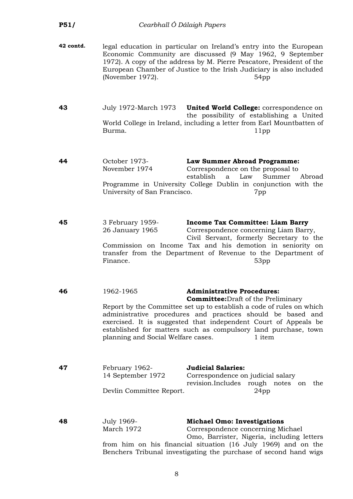| P51/      | Cearbhall Ó Dálaigh Papers                                      |                                                                                                                                                                                                                                                                                                                                                                       |
|-----------|-----------------------------------------------------------------|-----------------------------------------------------------------------------------------------------------------------------------------------------------------------------------------------------------------------------------------------------------------------------------------------------------------------------------------------------------------------|
| 42 contd. | (November 1972).                                                | legal education in particular on Ireland's entry into the European<br>Economic Community are discussed (9 May 1962, 9 September<br>1972). A copy of the address by M. Pierre Pescatore, President of the<br>European Chamber of Justice to the Irish Judiciary is also included<br>54pp                                                                               |
| 43        | July 1972-March 1973<br>Burma.                                  | United World College: correspondence on<br>the possibility of establishing a United<br>World College in Ireland, including a letter from Earl Mountbatten of<br>11pp                                                                                                                                                                                                  |
| 44        | October 1973-<br>November 1974<br>University of San Francisco.  | Law Summer Abroad Programme:<br>Correspondence on the proposal to<br>establish<br>Law<br>Summer<br>a<br>Abroad<br>Programme in University College Dublin in conjunction with the<br>7pp                                                                                                                                                                               |
| 45        | 3 February 1959-<br>26 January 1965<br>Finance.                 | <b>Income Tax Committee: Liam Barry</b><br>Correspondence concerning Liam Barry,<br>Civil Servant, formerly Secretary to the<br>Commission on Income Tax and his demotion in seniority on<br>transfer from the Department of Revenue to the Department of<br>53 <sub>pp</sub>                                                                                         |
| 46        | 1962-1965<br>planning and Social Welfare cases.                 | <b>Administrative Procedures:</b><br><b>Committee:</b> Draft of the Preliminary<br>Report by the Committee set up to establish a code of rules on which<br>administrative procedures and practices should be based and<br>exercised. It is suggested that independent Court of Appeals be<br>established for matters such as compulsory land purchase, town<br>1 item |
| 47        | February 1962-<br>14 September 1972<br>Devlin Committee Report. | <b>Judicial Salaries:</b><br>Correspondence on judicial salary<br>revision.Includes<br>rough notes on the<br>24 <sub>pp</sub>                                                                                                                                                                                                                                         |
| 48        | <b>July 1969-</b><br>March 1972                                 | <b>Michael Omo: Investigations</b><br>Correspondence concerning Michael<br>Omo, Barrister, Nigeria, including letters<br>from him on his financial situation (16 July 1969) and on the<br>Benchers Tribunal investigating the purchase of second hand wigs                                                                                                            |

8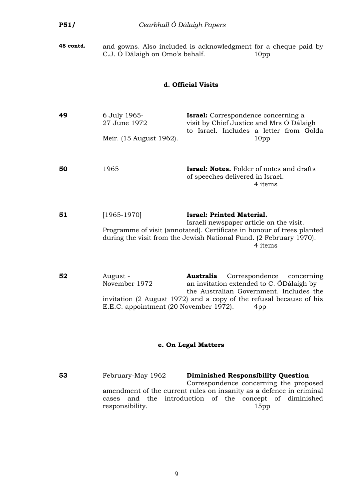| P51/                | Cearbhall Ó Dálaigh Papers                                          |                                                                                                                                                                                                                                        |  |
|---------------------|---------------------------------------------------------------------|----------------------------------------------------------------------------------------------------------------------------------------------------------------------------------------------------------------------------------------|--|
| 48 contd.           | C.J. Ó Dálaigh on Omo's behalf.                                     | and gowns. Also included is acknowledgment for a cheque paid by<br>10 <sub>pp</sub>                                                                                                                                                    |  |
|                     |                                                                     | d. Official Visits                                                                                                                                                                                                                     |  |
| 49                  | 6 July 1965-<br>27 June 1972<br>Meir. (15 August 1962).             | <b>Israel:</b> Correspondence concerning a<br>visit by Chief Justice and Mrs Ó Dálaigh<br>to Israel. Includes a letter from Golda<br>10pp                                                                                              |  |
| 50                  | 1965                                                                | <b>Israel: Notes.</b> Folder of notes and drafts<br>of speeches delivered in Israel.<br>4 items                                                                                                                                        |  |
| 51                  | $[1965-1970]$                                                       | <b>Israel: Printed Material.</b><br>Israeli newspaper article on the visit.<br>Programme of visit (annotated). Certificate in honour of trees planted<br>during the visit from the Jewish National Fund. (2 February 1970).<br>4 items |  |
| 52                  | August -<br>November 1972<br>E.E.C. appointment (20 November 1972). | Australia<br>Correspondence<br>concerning<br>an invitation extended to C. ODalaigh by<br>the Australian Government. Includes the<br>invitation (2 August 1972) and a copy of the refusal because of his<br>4pp                         |  |
| e. On Legal Matters |                                                                     |                                                                                                                                                                                                                                        |  |

**53** February-May 1962 **Diminished Responsibility Question** Correspondence concerning the proposed amendment of the current rules on insanity as a defence in criminal cases and the introduction of the concept of diminished responsibility.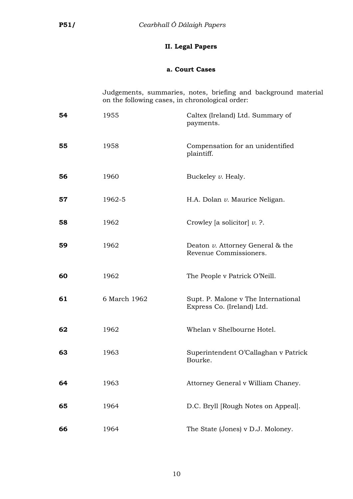### **II. Legal Papers**

### **a. Court Cases**

Judgements, summaries, notes, briefing and background material on the following cases, in chronological order:

| 54 | 1955         | Caltex (Ireland) Ltd. Summary of<br>payments.                     |
|----|--------------|-------------------------------------------------------------------|
| 55 | 1958         | Compensation for an unidentified<br>plaintiff.                    |
| 56 | 1960         | Buckeley v. Healy.                                                |
| 57 | 1962-5       | H.A. Dolan v. Maurice Neligan.                                    |
| 58 | 1962         | Crowley [a solicitor] $\nu$ . ?.                                  |
| 59 | 1962         | Deaton $v$ . Attorney General & the<br>Revenue Commissioners.     |
| 60 | 1962         | The People v Patrick O'Neill.                                     |
| 61 | 6 March 1962 | Supt. P. Malone v The International<br>Express Co. (Ireland) Ltd. |
| 62 | 1962         | Whelan v Shelbourne Hotel.                                        |
| 63 | 1963         | Superintendent O'Callaghan v Patrick<br>Bourke.                   |
| 64 | 1963         | Attorney General v William Chaney.                                |
| 65 | 1964         | D.C. Bryll [Rough Notes on Appeal].                               |
| 66 | 1964         | The State (Jones) v D.J. Moloney.                                 |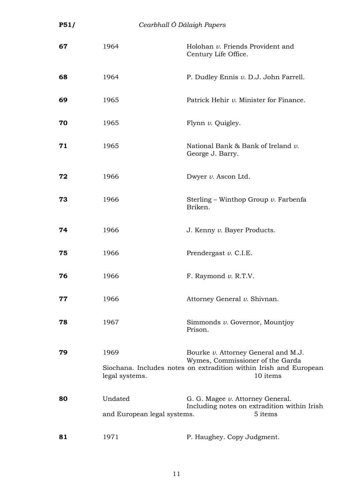| P51/ | Cearbhall Ó Dálaigh Papers             |                                                                                                                                                          |
|------|----------------------------------------|----------------------------------------------------------------------------------------------------------------------------------------------------------|
| 67   | 1964                                   | Holohan v. Friends Provident and<br>Century Life Office.                                                                                                 |
| 68   | 1964                                   | P. Dudley Ennis v. D.J. John Farrell.                                                                                                                    |
| 69   | 1965                                   | Patrick Hehir v. Minister for Finance.                                                                                                                   |
| 70   | 1965                                   | Flynn v. Quigley.                                                                                                                                        |
| 71   | 1965                                   | National Bank & Bank of Ireland v.<br>George J. Barry.                                                                                                   |
| 72   | 1966                                   | Dwyer v. Ascon Ltd.                                                                                                                                      |
| 73   | 1966                                   | Sterling – Winthop Group $\nu$ . Farbenfa<br>Briken.                                                                                                     |
| 74   | 1966                                   | J. Kenny v. Bayer Products.                                                                                                                              |
| 75   | 1966                                   | Prendergast v. C.I.E.                                                                                                                                    |
| 76   | 1966                                   | F. Raymond $v$ . R.T.V.                                                                                                                                  |
| 77   | 1966                                   | Attorney General v. Shivnan.                                                                                                                             |
| 78   | 1967                                   | Simmonds v. Governor, Mountjoy<br>Prison.                                                                                                                |
| 79   | 1969<br>legal systems.                 | Bourke v. Attorney General and M.J.<br>Wymes, Commissioner of the Garda<br>Siochana. Includes notes on extradition within Irish and European<br>10 items |
| 80   | Undated<br>and European legal systems. | G. G. Magee v. Attorney General.<br>Including notes on extradition within Irish<br>5 items                                                               |
| 81   | 1971                                   | P. Haughey. Copy Judgment.                                                                                                                               |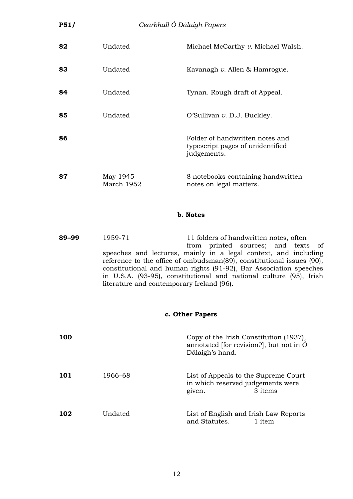| <b>P51/</b> | Cearbhall Ó Dálaigh Papers |                                                                                    |
|-------------|----------------------------|------------------------------------------------------------------------------------|
| 82          | Undated                    | Michael McCarthy v. Michael Walsh.                                                 |
| 83          | Undated                    | Kavanagh v. Allen & Hamrogue.                                                      |
| 84          | Undated                    | Tynan. Rough draft of Appeal.                                                      |
| 85          | Undated                    | O'Sullivan $v$ . D.J. Buckley.                                                     |
| 86          |                            | Folder of handwritten notes and<br>typescript pages of unidentified<br>judgements. |
| 87          | May 1945-<br>March 1952    | 8 notebooks containing handwritten<br>notes on legal matters.                      |

#### **b. Notes**

**89–99** 1959-71 11 folders of handwritten notes, often from printed sources; and texts of speeches and lectures, mainly in a legal context, and including reference to the office of ombudsman(89), constitutional issues (90), constitutional and human rights (91-92), Bar Association speeches in U.S.A. (93-95), constitutional and national culture (95), Irish literature and contemporary Ireland (96).

### **c. Other Papers**

| <b>100</b> |         | Copy of the Irish Constitution (1937),<br>annotated [for revision?], but not in $\dot{O}$<br>Dálaigh's hand. |
|------------|---------|--------------------------------------------------------------------------------------------------------------|
| 101        | 1966–68 | List of Appeals to the Supreme Court<br>in which reserved judgements were<br>3 items<br>given.               |
| 102        | Undated | List of English and Irish Law Reports<br>and Statutes.<br>1 item                                             |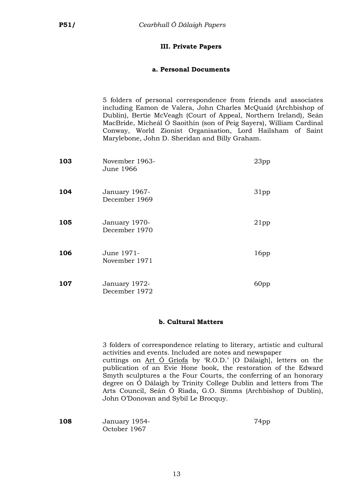### **III. Private Papers**

### **a. Personal Documents**

5 folders of personal correspondence from friends and associates including Eamon de Valera, John Charles McQuaid (Archbishop of Dublin), Bertie McVeagh (Court of Appeal, Northern Ireland), Seán MacBride, Mícheál Ó Saoithín (son of Peig Sayers), William Cardinal Conway, World Zionist Organisation, Lord Hailsham of Saint Marylebone, John D. Sheridan and Billy Graham.

| 103 | November 1963-<br>June 1966    | 23pp             |
|-----|--------------------------------|------------------|
| 104 | January 1967-<br>December 1969 | 31 <sub>pp</sub> |
| 105 | January 1970-<br>December 1970 | 21pp             |
| 106 | June 1971-<br>November 1971    | 16 <sub>pp</sub> |
| 107 | January 1972-<br>December 1972 | 60pp             |

### **b. Cultural Matters**

3 folders of correspondence relating to literary, artistic and cultural activities and events. Included are notes and newspaper cuttings on Art Ó Gríofa by 'R.O.D.' [O Dálaigh], letters on the publication of an Evie Hone book, the restoration of the Edward Smyth sculptures a the Four Courts, the conferring of an honorary degree on Ó Dálaigh by Trinity College Dublin and letters from The Arts Council, Seán Ó Riada, G.O. Simms (Archbishop of Dublin), John O'Donovan and Sybil Le Brocquy.

| 108 | January 1954- | 74pp |
|-----|---------------|------|
|     | October 1967  |      |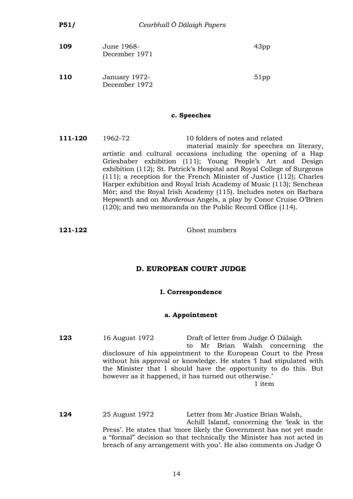| 109        | June 1968-<br>December 1971    | 43 <sub>pp</sub> |
|------------|--------------------------------|------------------|
| <b>110</b> | January 1972-<br>December 1972 | 51pp             |

### **c. Speeches**

**111-120** 1962-72 10 folders of notes and related material mainly for speeches on literary, artistic and cultural occasions including the opening of a Hap Grieshaber exhibition (111); Young People's Art and Design exhibition (112); St. Patrick's Hospital and Royal College of Surgeons (111); a reception for the French Minister of Justice (112); Charles Harper exhibition and Royal Irish Academy of Music (113); Sencheas Mór; and the Royal Irish Academy (115). Includes notes on Barbara Hepworth and on *Murderous* Angels, a play by Conor Cruise O'Brien (120); and two memoranda on the Public Record Office (114).

**121-122** Ghost numbers

### **D. EUROPEAN COURT JUDGE**

#### **I. Correspondence**

#### **a. Appointment**

**123** 16 August 1972 Draft of letter from Judge Ó Dálaigh to Mr Brian Walsh concerning the disclosure of his appointment to the European Court to the Press without his approval or knowledge. He states 'I had stipulated with the Minister that I should have the opportunity to do this. But however as it happened, it has turned out otherwise.' 1 item

**124** 25 August 1972 Letter from Mr Justice Brian Walsh, Achill Island, concerning the 'leak in the Press'. He states that 'more likely the Government has not yet made a "formal" decision so that technically the Minister has not acted in breach of any arrangement with you'. He also comments on Judge Ó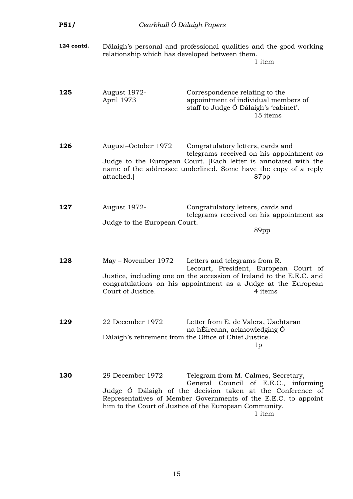| P51/       | Cearbhall Ó Dálaigh Papers                          |                                                                                                                                                                                                                                                                                 |
|------------|-----------------------------------------------------|---------------------------------------------------------------------------------------------------------------------------------------------------------------------------------------------------------------------------------------------------------------------------------|
| 124 contd. | relationship which has developed between them.      | Dálaigh's personal and professional qualities and the good working<br>1 item                                                                                                                                                                                                    |
| 125        | August 1972-<br>April 1973                          | Correspondence relating to the<br>appointment of individual members of<br>staff to Judge Ó Dálaigh's 'cabinet'.<br>15 items                                                                                                                                                     |
| 126        | August-October 1972<br>attached.                    | Congratulatory letters, cards and<br>telegrams received on his appointment as<br>Judge to the European Court. [Each letter is annotated with the<br>name of the addressee underlined. Some have the copy of a reply<br>87pp                                                     |
| 127        | <b>August 1972-</b><br>Judge to the European Court. | Congratulatory letters, cards and<br>telegrams received on his appointment as<br>89pp                                                                                                                                                                                           |
| 128        | May – November 1972<br>Court of Justice.            | Letters and telegrams from R.<br>Lecourt, President, European Court of<br>Justice, including one on the accession of Ireland to the E.E.C. and<br>congratulations on his appointment as a Judge at the European<br>4 items                                                      |
| 129        | 22 December 1972                                    | Letter from E. de Valera, Úachtaran<br>na hÉireann, acknowledging Ó<br>Dálaigh's retirement from the Office of Chief Justice.<br>1p                                                                                                                                             |
| 130        | 29 December 1972                                    | Telegram from M. Calmes, Secretary,<br>General Council of E.E.C., informing<br>Judge Ó Dálaigh of the decision taken at the Conference of<br>Representatives of Member Governments of the E.E.C. to appoint<br>him to the Court of Justice of the European Community.<br>1 item |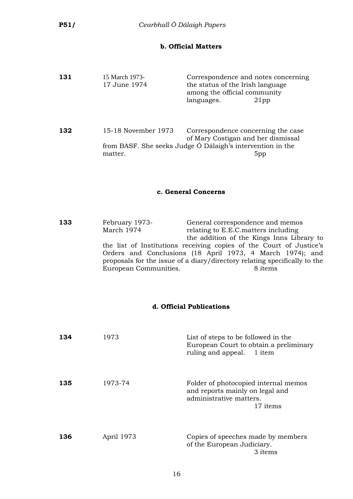### **b. Official Matters**

| 131 | 15 March 1973-<br>17 June 1974 | Correspondence and notes concerning<br>the status of the Irish language<br>among the official community<br>languages.<br>$21$ pp |
|-----|--------------------------------|----------------------------------------------------------------------------------------------------------------------------------|
| 132 | 15-18 November 1973            | Correspondence concerning the case                                                                                               |

of Mary Costigan and her dismissal from BASF. She seeks Judge Ó Dálaigh's intervention in the matter. 5pp

#### **c. General Concerns**

**133** February 1973- General correspondence and memos March 1974 relating to E.E.C. matters including the addition of the Kings Inns Library to the list of Institutions receiving copies of the Court of Justice's Orders and Conclusions (18 April 1973, 4 March 1974); and proposals for the issue of a diary/directory relating specifically to the European Communities. 8 items

#### **d. Official Publications**

| 134 | 1973       | List of steps to be followed in the<br>European Court to obtain a preliminary<br>ruling and appeal. 1 item     |
|-----|------------|----------------------------------------------------------------------------------------------------------------|
| 135 | 1973-74    | Folder of photocopied internal memos<br>and reports mainly on legal and<br>administrative matters.<br>17 items |
| 136 | April 1973 | Copies of speeches made by members<br>of the European Judiciary.<br>3 items                                    |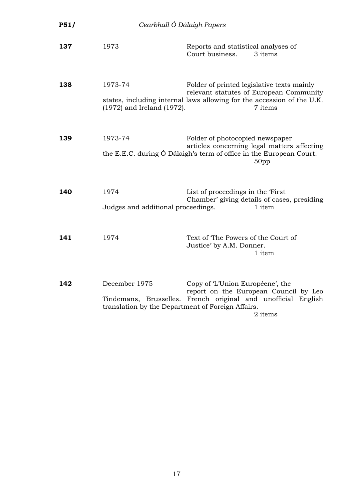| P51/ | Cearbhall Ó Dálaigh Papers                                         |                                                                                                                                                                            |
|------|--------------------------------------------------------------------|----------------------------------------------------------------------------------------------------------------------------------------------------------------------------|
| 137  | 1973                                                               | Reports and statistical analyses of<br>Court business.<br>3 items                                                                                                          |
| 138  | 1973-74<br>(1972) and Ireland (1972).                              | Folder of printed legislative texts mainly<br>relevant statutes of European Community<br>states, including internal laws allowing for the accession of the U.K.<br>7 items |
| 139  | 1973-74                                                            | Folder of photocopied newspaper<br>articles concerning legal matters affecting<br>the E.E.C. during Ó Dálaigh's term of office in the European Court.<br>50 <sub>pp</sub>  |
| 140  | 1974<br>Judges and additional proceedings.                         | List of proceedings in the 'First<br>Chamber' giving details of cases, presiding<br>1 item                                                                                 |
| 141  | 1974                                                               | Text of The Powers of the Court of<br>Justice' by A.M. Donner.<br>1 item                                                                                                   |
| 142  | December 1975<br>translation by the Department of Foreign Affairs. | Copy of 'L'Union Européene', the<br>report on the European Council by Leo<br>Tindemans, Brusselles. French original and unofficial English<br>2 items                      |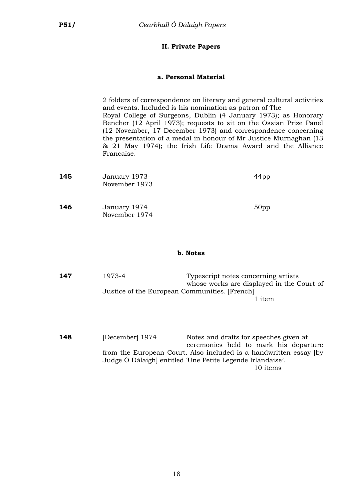### **II. Private Papers**

### **a. Personal Material**

2 folders of correspondence on literary and general cultural activities and events. Included is his nomination as patron of The Royal College of Surgeons, Dublin (4 January 1973); as Honorary Bencher (12 April 1973); requests to sit on the Ossian Prize Panel (12 November, 17 December 1973) and correspondence concerning the presentation of a medal in honour of Mr Justice Murnaghan (13 & 21 May 1974); the Irish Life Drama Award and the Alliance Francaise.

| 145 | January 1973-<br>November 1973 | 44 <sub>pp</sub> |
|-----|--------------------------------|------------------|
| 146 | January 1974<br>November 1974  | 50 <sub>pp</sub> |

### **b. Notes**

**147** 1973-4 Typescript notes concerning artists whose works are displayed in the Court of Justice of the European Communities. [French] 1 item

**148** [December] 1974 Notes and drafts for speeches given at ceremonies held to mark his departure from the European Court. Also included is a handwritten essay [by Judge Ó Dálaigh] entitled 'Une Petite Legende Irlandaise'. 10 items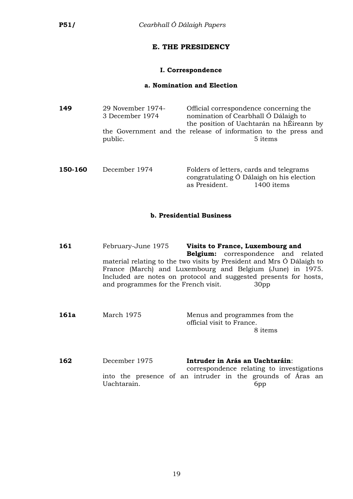### **E. THE PRESIDENCY**

### **I. Correspondence**

### **a. Nomination and Election**

| 149<br>29 November 1974-<br>3 December 1974 |         | Official correspondence concerning the<br>nomination of Cearbhall Ó Dálaigh to<br>the position of Uachtarán na hÉireann by |
|---------------------------------------------|---------|----------------------------------------------------------------------------------------------------------------------------|
|                                             | public. | the Government and the release of information to the press and<br>5 items                                                  |
|                                             |         |                                                                                                                            |

| 150-160 | December 1974 |               | Folders of letters, cards and telegrams  |
|---------|---------------|---------------|------------------------------------------|
|         |               |               | congratulating Ó Dálaigh on his election |
|         |               | as President. | 1400 items                               |

### **b. Presidential Business**

| 161  | February-June 1975                   | Visits to France, Luxembourg and                                      |  |  |  |
|------|--------------------------------------|-----------------------------------------------------------------------|--|--|--|
|      |                                      | <b>Belgium:</b> correspondence and related                            |  |  |  |
|      |                                      | material relating to the two visits by President and Mrs Ó Dálaigh to |  |  |  |
|      |                                      | France (March) and Luxembourg and Belgium (June) in 1975.             |  |  |  |
|      |                                      | Included are notes on protocol and suggested presents for hosts,      |  |  |  |
|      | and programmes for the French visit. | 30 <sub>pp</sub>                                                      |  |  |  |
|      |                                      |                                                                       |  |  |  |
|      |                                      |                                                                       |  |  |  |
| 161a | March 1975                           | Menus and programmes from the                                         |  |  |  |
|      |                                      | official visit to France.                                             |  |  |  |
|      |                                      | 8 items                                                               |  |  |  |

**162** December 1975 **Intruder in Arás an Uachtaráin**: correspondence relating to investigations into the presence of an intruder in the grounds of Áras an Uachtarain. 6pp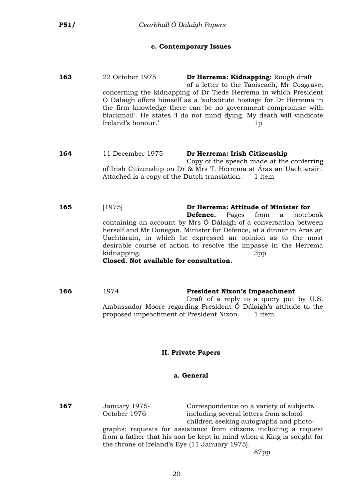#### **c. Contemporary Issues**

- **163** 22 October 1975 **Dr Herrema: Kidnapping:** Rough draft of a letter to the Taoiseach, Mr Cosgrave, concerning the kidnapping of Dr Tiede Herrema in which President Ó Dálaigh offers himself as a 'substitute hostage for Dr Herrema in the firm knowledge there can be no government compromise with blackmail'. He states 'I do not mind dying. My death will vindicate Ireland's honour.' 1p
- **164** 11 December 1975 **Dr Herrema: Irish Citizenship** Copy of the speech made at the conferring of Irish Citizenship on Dr & Mrs T. Herrema at Áras an Uachtaráin. Attached is a copy of the Dutch translation. 1 item
- **165** [1975] **Dr Herrema: Attitude of Minister for Defence.** Pages from a notebook containing an account by Mrs Ó Dálaigh of a conversation between herself and Mr Donegan, Minister for Defence, at a dinner in Áras an Uachtárain, in which he expressed an opinion as to the most desirable course of action to resolve the impasse in the Herrema kidnapping. 3pp **Closed. Not available for consultation.**
- **166** 1974 **President Nixon's Impeachment** Draft of a reply to a query put by U.S. Ambassador Moore regarding President Ó Dálaigh's attitude to the proposed impeachment of President Nixon. 1 item

### **II. Private Papers**

#### **a. General**

**167** January 1975- Correspondence on a variety of subjects<br>October 1976 including several letters from school

including several letters from school children seeking autographs and photo-

graphs; requests for assistance from citizens including a request from a father that his son be kept in mind when a King is sought for the throne of Ireland's Eye (11 January 1975).

87pp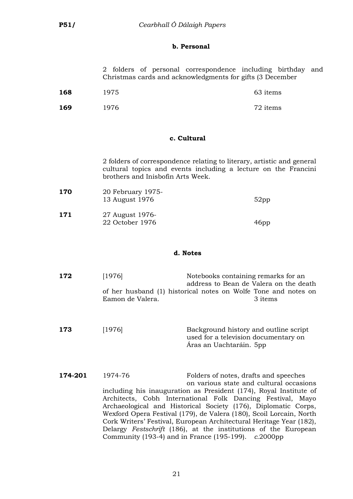### **b. Personal**

|  |  | 2 folders of personal correspondence including birthday and |  |  |
|--|--|-------------------------------------------------------------|--|--|
|  |  | Christmas cards and acknowledgments for gifts (3 December   |  |  |

| 168 | 1975 | 63 items |
|-----|------|----------|
|     |      |          |

| 1976<br>169 | 72 items |
|-------------|----------|
|-------------|----------|

### **c. Cultural**

2 folders of correspondence relating to literary, artistic and general cultural topics and events including a lecture on the Francini brothers and Inisbofin Arts Week.

| 170 | 20 February 1975-<br>13 August 1976 | $52$ pp          |
|-----|-------------------------------------|------------------|
| 171 | 27 August 1976-<br>22 October 1976  | 46 <sub>pp</sub> |

### **d. Notes**

| 172     | [1976]<br>Eamon de Valera. | Notebooks containing remarks for an<br>address to Bean de Valera on the death<br>of her husband (1) historical notes on Wolfe Tone and notes on<br>3 items                                                                                                                                                                                                                                                                          |  |
|---------|----------------------------|-------------------------------------------------------------------------------------------------------------------------------------------------------------------------------------------------------------------------------------------------------------------------------------------------------------------------------------------------------------------------------------------------------------------------------------|--|
| 173     | [1976]                     | Background history and outline script<br>used for a television documentary on<br>Aras an Uachtaráin. 5pp                                                                                                                                                                                                                                                                                                                            |  |
| 174-201 | 1974-76                    | Folders of notes, drafts and speeches<br>on various state and cultural occasions<br>including his inauguration as President (174), Royal Institute of<br>Architects, Cobh International Folk Dancing Festival, Mayo<br>Archaeological and Historical Society (176), Diplomatic Corps,<br>Wexford Opera Festival (179), de Valera (180), Scoil Lorcain, North<br>Cork Writers' Festival, European Architectural Heritage Year (182), |  |

Delargy *Festschrift* (186), at the institutions of the European

Community (193-4) and in France (195-199). *c.*2000pp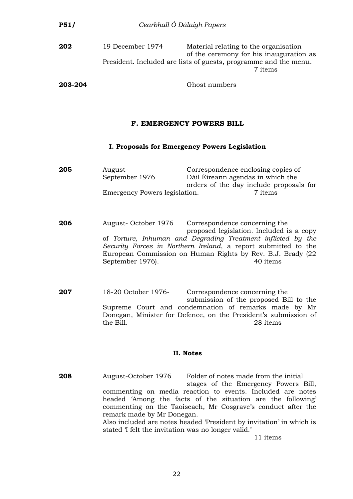| <b>P51/</b> |                  | Cearbhall Ó Dálaigh Papers                                                                                                                                      |
|-------------|------------------|-----------------------------------------------------------------------------------------------------------------------------------------------------------------|
| 202         | 19 December 1974 | Material relating to the organisation<br>of the ceremony for his inauguration as<br>President. Included are lists of guests, programme and the menu.<br>7 items |
| 203-204     |                  | Ghost numbers                                                                                                                                                   |

#### **F. EMERGENCY POWERS BILL**

#### **I. Proposals for Emergency Powers Legislation**

| 205 | August-                       | Correspondence enclosing copies of      |  |
|-----|-------------------------------|-----------------------------------------|--|
|     | September 1976                | Dáil Éireann agendas in which the       |  |
|     |                               | orders of the day include proposals for |  |
|     | Emergency Powers legislation. | 7 items                                 |  |

**206** August- October 1976 Correspondence concerning the proposed legislation. Included is a copy of *Torture, Inhuman and Degrading Treatment inflicted by the Security Forces in Northern Ireland*, a report submitted to the European Commission on Human Rights by Rev. B.J. Brady (22 September 1976). 40 items

**207** 18-20 October 1976- Correspondence concerning the submission of the proposed Bill to the Supreme Court and condemnation of remarks made by Mr Donegan, Minister for Defence, on the President's submission of the Bill. 28 items

#### **II. Notes**

**208** August-October 1976 Folder of notes made from the initial stages of the Emergency Powers Bill, commenting on media reaction to events. Included are notes headed 'Among the facts of the situation are the following' commenting on the Taoiseach, Mr Cosgrave's conduct after the remark made by Mr Donegan. Also included are notes headed 'President by invitation' in which is stated 'I felt the invitation was no longer valid.'

11 items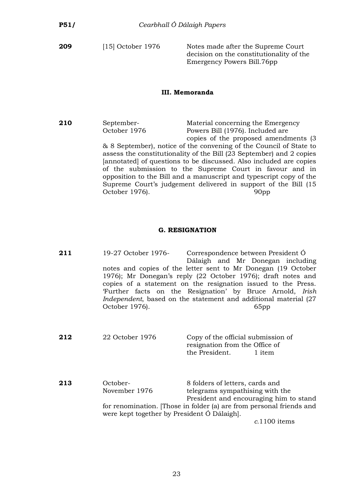**209** [15] October 1976 Notes made after the Supreme Court decision on the constitutionality of the Emergency Powers Bill.76pp

#### **III. Memoranda**

**210** September- Material concerning the Emergency Powers Bill (1976). Included are copies of the proposed amendments (3 & 8 September), notice of the convening of the Council of State to assess the constitutionality of the Bill (23 September) and 2 copies [annotated] of questions to be discussed. Also included are copies of the submission to the Supreme Court in favour and in opposition to the Bill and a manuscript and typescript copy of the Supreme Court's judgement delivered in support of the Bill (15 October 1976). 90pp

### **G. RESIGNATION**

| 211 | 19-27 October 1976-<br>notes and copies of the letter sent to Mr Donegan (19 October<br>1976); Mr Donegan's reply (22 October 1976); draft notes and<br>copies of a statement on the resignation issued to the Press.<br>'Further facts on the Resignation' by Bruce Arnold, Irish<br><i>Independent</i> , based on the statement and additional material (27)<br>October 1976). | Correspondence between President O<br>Dálaigh and Mr Donegan including                                       | 65pp           |
|-----|----------------------------------------------------------------------------------------------------------------------------------------------------------------------------------------------------------------------------------------------------------------------------------------------------------------------------------------------------------------------------------|--------------------------------------------------------------------------------------------------------------|----------------|
| 212 | 22 October 1976                                                                                                                                                                                                                                                                                                                                                                  | Copy of the official submission of<br>resignation from the Office of<br>the President.                       | 1 item         |
| 213 | October-<br>November 1976<br>for renomination. Those in folder (a) are from personal friends and<br>were kept together by President Ó Dálaigh.                                                                                                                                                                                                                                   | 8 folders of letters, cards and<br>telegrams sympathising with the<br>President and encouraging him to stand | $c.1100$ items |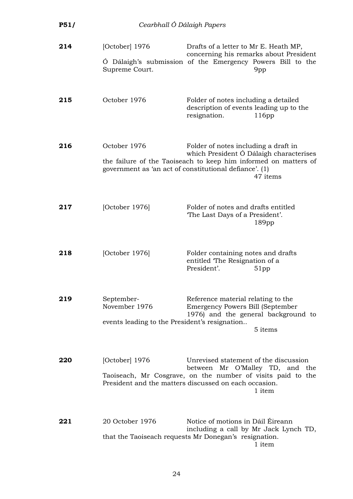| P51/ | Cearbhall Ó Dálaigh Papers                                                   |                                                                                                                                                                                                                          |
|------|------------------------------------------------------------------------------|--------------------------------------------------------------------------------------------------------------------------------------------------------------------------------------------------------------------------|
| 214  | [October] 1976<br>Supreme Court.                                             | Drafts of a letter to Mr E. Heath MP,<br>concerning his remarks about President<br>Ó Dálaigh's submission of the Emergency Powers Bill to the<br>9pp                                                                     |
| 215  | October 1976                                                                 | Folder of notes including a detailed<br>description of events leading up to the<br>resignation.<br>116pp                                                                                                                 |
| 216  | October 1976                                                                 | Folder of notes including a draft in<br>which President Ó Dálaigh characterises<br>the failure of the Taoiseach to keep him informed on matters of<br>government as 'an act of constitutional defiance'. (1)<br>47 items |
| 217  | [October 1976]                                                               | Folder of notes and drafts entitled<br>The Last Days of a President'.<br>189 <sub>pp</sub>                                                                                                                               |
| 218  | [October 1976]                                                               | Folder containing notes and drafts<br>entitled The Resignation of a<br>President'.<br>51pp                                                                                                                               |
| 219  | September-<br>November 1976<br>events leading to the President's resignation | Reference material relating to the<br>Emergency Powers Bill (September<br>1976) and the general background to<br>5 items                                                                                                 |
| 220  | [October] 1976                                                               | Unrevised statement of the discussion<br>between Mr O'Malley TD, and the<br>Taoiseach, Mr Cosgrave, on the number of visits paid to the<br>President and the matters discussed on each occasion.<br>1 item               |
| 221  | 20 October 1976                                                              | Notice of motions in Dáil Éireann<br>including a call by Mr Jack Lynch TD,<br>that the Taoiseach requests Mr Donegan's resignation.<br>1 item                                                                            |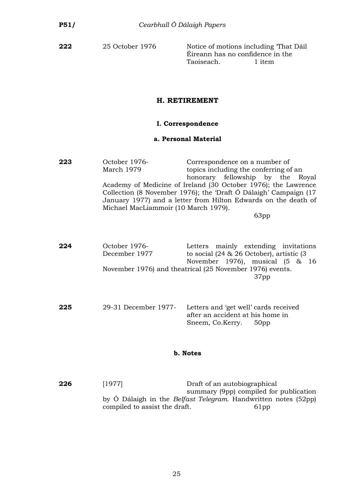**222** 25 October 1976 Notice of motions including 'That Dáil Éireann has no confidence in the Taoiseach. 1 item

### **H. RETIREMENT**

### **I. Correspondence**

#### **a. Personal Material**

**223** October 1976- Correspondence on a number of March 1979 topics including the conferring of an honorary fellowship by the Royal Academy of Medicine of Ireland (30 October 1976); the Lawrence Collection (8 November 1976); the 'Draft Ó Dálaigh' Campaign (17 January 1977) and a letter from Hilton Edwards on the death of Michael MacLiammoir (10 March 1979).

63pp

- **224** October 1976- Letters mainly extending invitations December 1977 to social (24 & 26 October), artistic (3 November 1976), musical (5 & 16 November 1976) and theatrical (25 November 1976) events. 37pp
- **225** 29-31 December 1977- Letters and 'get well' cards received after an accident at his home in Sneem, Co.Kerry. 50pp

#### **b. Notes**

**226** [1977] **Draft of an autobiographical** summary (9pp) compiled for publication by Ó Dálaigh in the *Belfast Telegram*. Handwritten notes (52pp) compiled to assist the draft. 61pp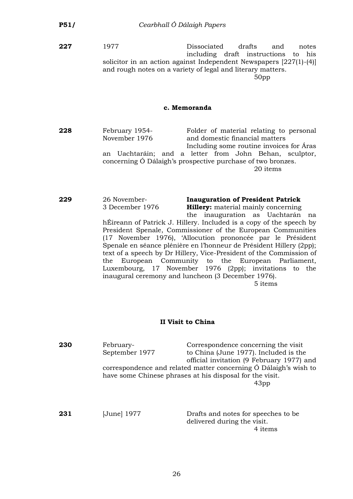**227** 1977 Dissociated drafts and notes including draft instructions to his solicitor in an action against Independent Newspapers [227(1)-(4)] and rough notes on a variety of legal and literary matters.

50pp

#### **c. Memoranda**

**228** February 1954- Folder of material relating to personal November 1976 and domestic financial matters Including some routine invoices for Áras an Uachtaráin; and a letter from John Behan, sculptor,

concerning Ó Dálaigh's prospective purchase of two bronzes. 20 items

### **229** 26 November- **Inauguration of President Patrick**

3 December 1976 **Hillery:** material mainly concerning

the inauguration as Uachtarán na hÉireann of Patrick J. Hillery. Included is a copy of the speech by President Spenale, Commissioner of the European Communities (17 November 1976), 'Allocution prononcée par le Président Spenale en séance plénière en l'honneur de Président Hillery (2pp); text of a speech by Dr Hillery, Vice-President of the Commission of the European Community to the European Parliament, Luxembourg, 17 November 1976 (2pp); invitations to the inaugural ceremony and luncheon (3 December 1976).

5 items

#### **II Visit to China**

**230** February- Correspondence concerning the visit September 1977 to China (June 1977). Included is the official invitation (9 February 1977) and correspondence and related matter concerning Ó Dálaigh's wish to have some Chinese phrases at his disposal for the visit. 43pp

**231** [June] 1977 Drafts and notes for speeches to be delivered during the visit. 4 items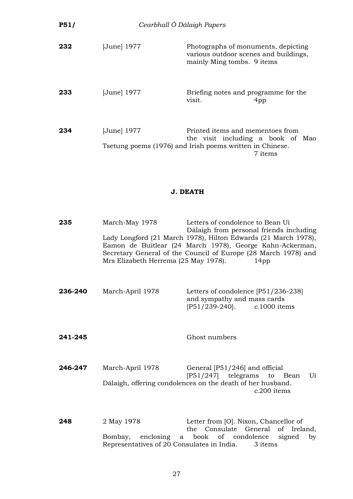| P51/ | Cearbhall Ó Dálaigh Papers |                                                                                                                                              |
|------|----------------------------|----------------------------------------------------------------------------------------------------------------------------------------------|
| 232  | [June] 1977                | Photographs of monuments, depicting<br>various outdoor scenes and buildings,<br>mainly Ming tombs. 9 items                                   |
| 233  | [June] 1977                | Briefing notes and programme for the<br>visit.<br>4pp                                                                                        |
| 234  | [June] 1977                | Printed items and mementoes from<br>the visit including a book of Mao<br>Tsetung poems (1976) and Irish poems written in Chinese.<br>7 items |

### **J. DEATH**

| 235     | March-May 1978<br>Mrs Elizabeth Herrema (25 May 1978).   | Letters of condolence to Bean Uí<br>Dálaigh from personal friends including<br>Lady Longford (21 March 1978), Hilton Edwards (21 March 1978),<br>Eamon de Buitlear (24 March 1978), George Kahn-Ackerman,<br>Secretary General of the Council of Europe (28 March 1978) and<br>14 <sub>pp</sub> |
|---------|----------------------------------------------------------|-------------------------------------------------------------------------------------------------------------------------------------------------------------------------------------------------------------------------------------------------------------------------------------------------|
| 236-240 | March-April 1978                                         | Letters of condolence [P51/236-238]<br>and sympathy and mass cards<br>$[P51/239-240]$ .<br>$c.1000$ items                                                                                                                                                                                       |
| 241-245 |                                                          | Ghost numbers                                                                                                                                                                                                                                                                                   |
| 246-247 | March-April 1978                                         | General [P51/246] and official<br>$[P51/247]$ telegrams to Bean<br>Uí<br>Dálaigh, offering condolences on the death of her husband.<br>c.200 items                                                                                                                                              |
| 248     | 2 May 1978<br>Representatives of 20 Consulates in India. | Letter from [O]. Nixon, Chancellor of<br>the Consulate General of Ireland,<br>Bombay, enclosing a book of condolence<br>signed<br>by<br>3 items                                                                                                                                                 |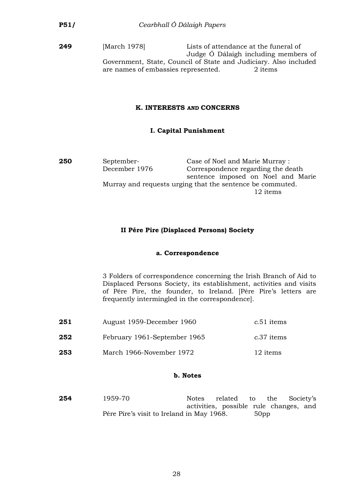**249** [March 1978] Lists of attendance at the funeral of Judge Ó Dálaigh including members of Government, State, Council of State and Judiciary. Also included are names of embassies represented. 2 items

#### **K. INTERESTS AND CONCERNS**

### **I. Capital Punishment**

**250** September- Case of Noel and Marie Murray : December 1976 Correspondence regarding the death sentence imposed on Noel and Marie Murray and requests urging that the sentence be commuted. 12 items

### **II Pére Pire (Displaced Persons) Society**

#### **a. Correspondence**

3 Folders of correspondence concerning the Irish Branch of Aid to Displaced Persons Society, its establishment, activities and visits of Pére Pire, the founder, to Ireland. [Pére Pire's letters are frequently intermingled in the correspondence].

| 251 | August 1959-December 1960    | c.51 items |
|-----|------------------------------|------------|
| 252 | February 1961-September 1965 | c.37 items |
| 253 | March 1966-November 1972     | 12 items   |

#### **b. Notes**

**254** 1959-70 Notes related to the Society's activities, possible rule changes, and Pére Pire's visit to Ireland in May 1968. 50pp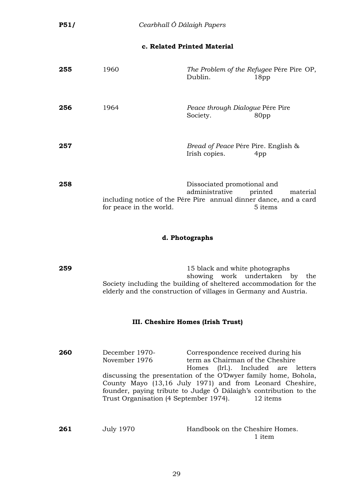### **c. Related Printed Material**

| 255 | 1960                                                                                         | Dublin.                                                         | The Problem of the Refugee Pére Pire OP,<br>18 <sub>pp</sub> |
|-----|----------------------------------------------------------------------------------------------|-----------------------------------------------------------------|--------------------------------------------------------------|
| 256 | 1964                                                                                         | Peace through Dialogue Pére Pire<br>Society.                    | 80pp                                                         |
| 257 |                                                                                              | <i>Bread of Peace Pére Pire. English &amp;</i><br>Irish copies. | 4pp                                                          |
| 258 | including notice of the Pére Pire annual dinner dance, and a card<br>for peace in the world. | Dissociated promotional and<br>administrative                   | printed<br>material<br>5 items                               |

### **d. Photographs**

**259** 15 black and white photographs showing work undertaken by the Society including the building of sheltered accommodation for the elderly and the construction of villages in Germany and Austria.

#### **III. Cheshire Homes (Irish Trust)**

| 260 | December 1970-                         | Correspondence received during his                               |
|-----|----------------------------------------|------------------------------------------------------------------|
|     | November 1976                          | term as Chairman of the Cheshire                                 |
|     |                                        | Homes (Irl.). Included are letters                               |
|     |                                        | discussing the presentation of the O'Dwyer family home, Bohola,  |
|     |                                        | County Mayo (13,16 July 1971) and from Leonard Cheshire,         |
|     |                                        | founder, paying tribute to Judge Ó Dálaigh's contribution to the |
|     | Trust Organisation (4 September 1974). | 12 items                                                         |
|     |                                        |                                                                  |

| 261 | July 1970 | Handbook on the Cheshire Homes. |        |
|-----|-----------|---------------------------------|--------|
|     |           |                                 | 1 item |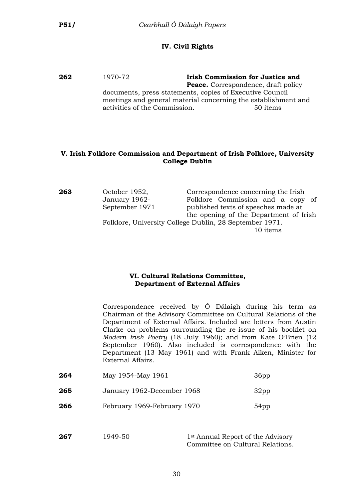### **IV. Civil Rights**

**262** 1970-72 **Irish Commission for Justice and Peace.** Correspondence, draft policy documents, press statements, copies of Executive Council meetings and general material concerning the establishment and activities of the Commission. 50 items

### **V. Irish Folklore Commission and Department of Irish Folklore, University College Dublin**

| 263 | October 1952,  | Correspondence concerning the Irish                     |
|-----|----------------|---------------------------------------------------------|
|     | January 1962-  | Folklore Commission and a copy of                       |
|     | September 1971 | published texts of speeches made at                     |
|     |                | the opening of the Department of Irish                  |
|     |                | Folklore, University College Dublin, 28 September 1971. |
|     |                | 10 items                                                |

### **VI. Cultural Relations Committee, Department of External Affairs**

Correspondence received by Ó Dálaigh during his term as Chairman of the Advisory Committtee on Cultural Relations of the Department of External Affairs. Included are letters from Austin Clarke on problems surrounding the re-issue of his booklet on *Modern Irish Poetry* (18 July 1960); and from Kate O'Brien (12 September 1960). Also included is correspondence with the Department (13 May 1961) and with Frank Aiken, Minister for External Affairs.

| 264 | May 1954-May 1961           | 36 <sub>pp</sub> |
|-----|-----------------------------|------------------|
| 265 | January 1962-December 1968  | 32 <sub>pp</sub> |
| 266 | February 1969-February 1970 | 54pp             |

| 267 | 1949-50 | 1 <sup>st</sup> Annual Report of the Advisory |
|-----|---------|-----------------------------------------------|
|     |         | Committee on Cultural Relations.              |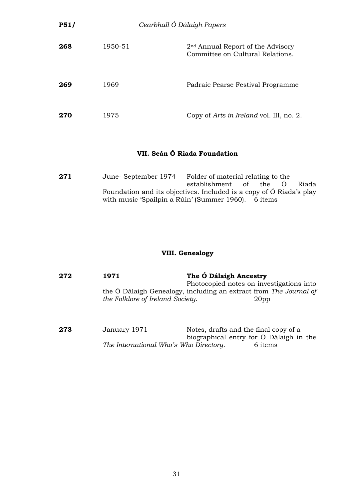| <b>P51/</b> | Cearbhall Ó Dálaigh Papers |                                                                         |
|-------------|----------------------------|-------------------------------------------------------------------------|
| 268         | 1950-51                    | $2nd$ Annual Report of the Advisory<br>Committee on Cultural Relations. |
| 269         | 1969                       | Padraic Pearse Festival Programme                                       |
| 270         | 1975                       | Copy of <i>Arts in Ireland</i> vol. III, no. 2.                         |

# **VII. Seán Ó Riada Foundation**

| 271 | June-September 1974                                                 | Folder of material relating to the |  |       |
|-----|---------------------------------------------------------------------|------------------------------------|--|-------|
|     |                                                                     | establishment of the O             |  | Riada |
|     | Foundation and its objectives. Included is a copy of O Riada's play |                                    |  |       |
|     | with music 'Spailpin a Rúin' (Summer 1960). 6 items                 |                                    |  |       |

# **VIII. Genealogy**

| 272 | 1971                                   | The Ó Dálaigh Ancestry<br>Photocopied notes on investigations into                    |  |
|-----|----------------------------------------|---------------------------------------------------------------------------------------|--|
|     | the Folklore of Ireland Society.       | the O Dálaigh Genealogy, including an extract from The Journal of<br>20 <sub>pp</sub> |  |
| 273 | January 1971-                          | Notes, drafts and the final copy of a<br>biographical entry for Ó Dálaigh in the      |  |
|     | The International Who's Who Directory. | 6 items                                                                               |  |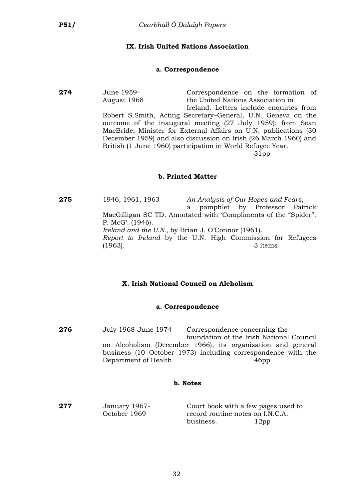### **IX. Irish United Nations Association**

#### **a. Correspondence**

**274** June 1959- Correspondence on the formation of August 1968 the United Nations Association in Ireland. Letters include enquiries from Robert S.Smith, Acting Secretary–General, U.N. Geneva on the outcome of the inaugural meeting (27 July 1959); from Sean MacBride, Minister for External Affairs on U.N. publications (30 December 1959) and also discussion on Irish (26 March 1960) and British (1 June 1960) participation in World Refugee Year. 31pp

#### **b. Printed Matter**

**275** 1946, 1961, 1963 *An Analysis of Our Hopes and Fears*, a pamphlet by Professor Patrick MacGilligan SC TD. Annotated with 'Compliments of the "Spider", P. McG'. (1946). *Ireland and the U.N.,* by Brian J. O'Connor (1961). *Report to Ireland* by the U.N. High Commission for Refugees (1963). 3 items

### **X. Irish National Council on Alcholism**

#### **a. Correspondence**

**276** July 1968-June 1974 Correspondence concerning the foundation of the Irish National Council on Alcoholism (December 1966), its organisation and general business (10 October 1973) including correspondence with the Department of Health. 46pp

#### **b. Notes**

**277** January 1967-<br>Court book with a few pages used to<br>Cortober 1969 **Court and the U.S. Contract Contract October** 1969 record routine notes on I.N.C.A. business. 12pp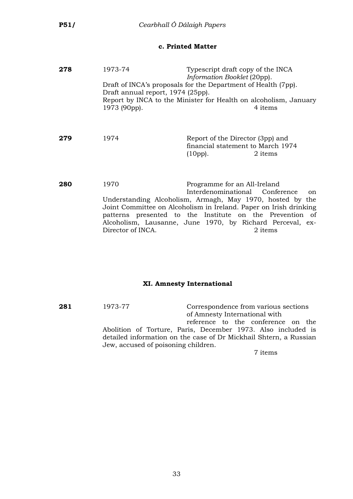### **c. Printed Matter**

| 278 | 1973-74                           | Typescript draft copy of the INCA<br>Information Booklet (20pp).                                                                                                                                                                                                         |
|-----|-----------------------------------|--------------------------------------------------------------------------------------------------------------------------------------------------------------------------------------------------------------------------------------------------------------------------|
|     | Draft annual report, 1974 (25pp). | Draft of INCA's proposals for the Department of Health (7pp).                                                                                                                                                                                                            |
|     | 1973 (90pp).                      | Report by INCA to the Minister for Health on alcoholism, January<br>4 items                                                                                                                                                                                              |
| 279 | 1974                              | Report of the Director (3pp) and<br>financial statement to March 1974<br>(10pp).<br>2 items                                                                                                                                                                              |
| 280 | 1970                              | Programme for an All-Ireland<br>Interdenominational Conference                                                                                                                                                                                                           |
|     | Director of INCA.                 | on<br>Understanding Alcoholism, Armagh, May 1970, hosted by the<br>Joint Committee on Alcoholism in Ireland. Paper on Irish drinking<br>patterns presented to the Institute on the Prevention of<br>Alcoholism, Lausanne, June 1970, by Richard Perceval, ex-<br>2 items |

#### **XI. Amnesty International**

**281** 1973-77 Correspondence from various sections of Amnesty International with reference to the conference on the Abolition of Torture, Paris, December 1973. Also included is detailed information on the case of Dr Mickhail Shtern, a Russian Jew, accused of poisoning children.

7 items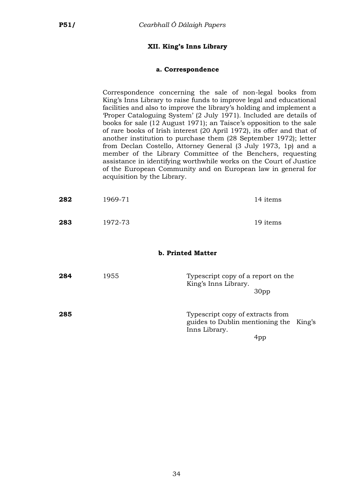### **XII. King's Inns Library**

#### **a. Correspondence**

Correspondence concerning the sale of non-legal books from King's Inns Library to raise funds to improve legal and educational facilities and also to improve the library's holding and implement a 'Proper Cataloguing System' (2 July 1971). Included are details of books for sale (12 August 1971); an Taisce's opposition to the sale of rare books of Irish interest (20 April 1972), its offer and that of another institution to purchase them (28 September 1972); letter from Declan Costello, Attorney General (3 July 1973, 1p) and a member of the Library Committee of the Benchers, requesting assistance in identifying worthwhile works on the Court of Justice of the European Community and on European law in general for acquisition by the Library.

King's

| 282 | 1969-71 | 14 items                                                                                    |
|-----|---------|---------------------------------------------------------------------------------------------|
| 283 | 1972-73 | 19 items                                                                                    |
|     |         | <b>b. Printed Matter</b>                                                                    |
| 284 | 1955    | Typescript copy of a report on the<br>King's Inns Library.<br>30 <sub>pp</sub>              |
| 285 |         | Typescript copy of extracts from<br>guides to Dublin mentioning the<br>Inns Library.<br>4pp |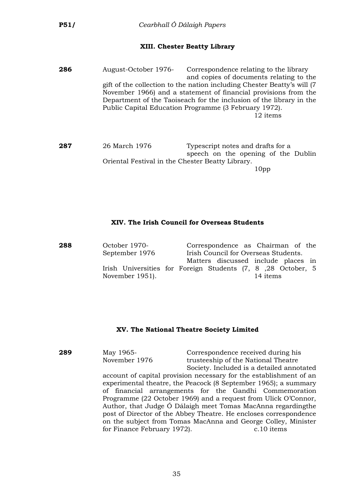#### **XIII. Chester Beatty Library**

| 286 | August-October 1976- | Correspondence relating to the library                                   |
|-----|----------------------|--------------------------------------------------------------------------|
|     |                      | and copies of documents relating to the                                  |
|     |                      | gift of the collection to the nation including Chester Beatty's will (7) |
|     |                      | November 1966) and a statement of financial provisions from the          |
|     |                      | Department of the Taoiseach for the inclusion of the library in the      |
|     |                      | Public Capital Education Programme (3 February 1972).                    |
|     |                      | 12 items                                                                 |
|     |                      |                                                                          |

**287** 26 March 1976 Typescript notes and drafts for a speech on the opening of the Dublin Oriental Festival in the Chester Beatty Library. 10pp

#### **XIV. The Irish Council for Overseas Students**

| 288 | October 1970-   | Correspondence as Chairman of the                                        |
|-----|-----------------|--------------------------------------------------------------------------|
|     | September 1976  | Irish Council for Overseas Students.                                     |
|     |                 | Matters discussed include places in                                      |
|     | November 1951). | Irish Universities for Foreign Students (7, 8, 28 October, 5<br>14 items |

#### **XV. The National Theatre Society Limited**

**289** May 1965- Correspondence received during his November 1976 trusteeship of the National Theatre Society. Included is a detailed annotated account of capital provision necessary for the establishment of an experimental theatre, the Peacock (8 September 1965); a summary of financial arrangements for the Gandhi Commemoration Programme (22 October 1969) and a request from Ulick O'Connor, Author, that Judge Ó Dálaigh meet Tomas MacAnna regardingthe post of Director of the Abbey Theatre. He encloses correspondence on the subject from Tomas MacAnna and George Colley, Minister for Finance February 1972). c.10 items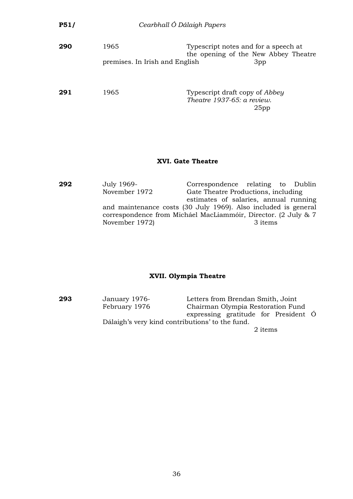| P51/ |                                        | Cearbhall Ó Dálaigh Papers                                                              |
|------|----------------------------------------|-----------------------------------------------------------------------------------------|
| 290  | 1965<br>premises. In Irish and English | Typescript notes and for a speech at<br>the opening of the New Abbey Theatre<br>3pp     |
| 291  | 1965                                   | Typescript draft copy of <i>Abbey</i><br>Theatre 1937-65: a review.<br>25 <sub>pp</sub> |
|      |                                        |                                                                                         |

### **XVI. Gate Theatre**

| 292 | July 1969-     | Correspondence relating to Dublin                              |
|-----|----------------|----------------------------------------------------------------|
|     | November 1972  | Gate Theatre Productions, including                            |
|     |                | estimates of salaries, annual running                          |
|     |                | and maintenance costs (30 July 1969). Also included is general |
|     |                | correspondence from Micháel MacLiammóir, Director. (2 July & 7 |
|     | November 1972) | 3 items                                                        |
|     |                |                                                                |

### **XVII. Olympia Theatre**

**293** January 1976- Letters from Brendan Smith, Joint Chairman Olympia Restoration Fund expressing gratitude for President Ó Dálaigh's very kind contributions' to the fund. 2 items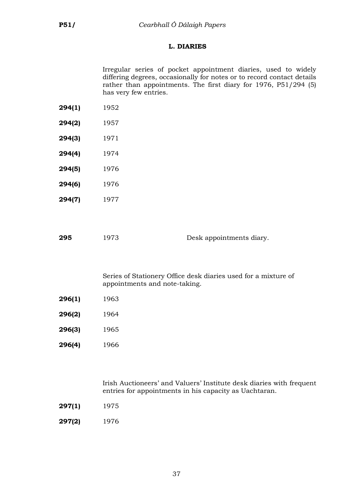# **L. DIARIES**

Irregular series of pocket appointment diaries, used to widely differing degrees, occasionally for notes or to record contact details rather than appointments. The first diary for 1976, P51/294 (5) has very few entries.

- **294(1)** 1952
- **294(2)** 1957
- **294(3)** 1971
- **294(4)** 1974
- **294(5)** 1976
- **294(6)** 1976 **294(7)** 1977

| 295 | 1973 | Desk appointments diary. |
|-----|------|--------------------------|
|     |      |                          |

Series of Stationery Office desk diaries used for a mixture of appointments and note-taking.

- **296(1)** 1963
- **296(2)** 1964
- **296(3)** 1965
- **296(4)** 1966

Irish Auctioneers' and Valuers' Institute desk diaries with frequent entries for appointments in his capacity as Uachtaran.

- **297(1)** 1975
- **297(2)** 1976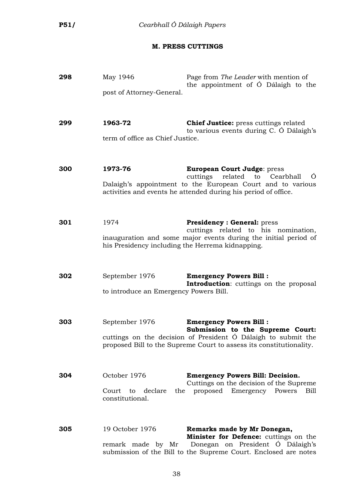### **M. PRESS CUTTINGS**

| 298 | May 1946<br>post of Attorney-General.                    | Page from The Leader with mention of<br>the appointment of Ó Dálaigh to the                                                                                                                                 |
|-----|----------------------------------------------------------|-------------------------------------------------------------------------------------------------------------------------------------------------------------------------------------------------------------|
| 299 | 1963-72<br>term of office as Chief Justice.              | <b>Chief Justice:</b> press cuttings related<br>to various events during C. Ó Dálaigh's                                                                                                                     |
| 300 | 1973-76                                                  | <b>European Court Judge: press</b><br>cuttings<br>related to Cearbhall<br>O<br>Dalaigh's appointment to the European Court and to various<br>activities and events he attended during his period of office. |
| 301 | 1974<br>his Presidency including the Herrema kidnapping. | <b>Presidency: General: press</b><br>cuttings related to his nomination,<br>inauguration and some major events during the initial period of                                                                 |
| 302 | September 1976<br>to introduce an Emergency Powers Bill. | <b>Emergency Powers Bill:</b><br><b>Introduction:</b> cuttings on the proposal                                                                                                                              |
| 303 | September 1976                                           | <b>Emergency Powers Bill:</b><br>Submission to the Supreme Court:<br>cuttings on the decision of President Ó Dálaigh to submit the<br>proposed Bill to the Supreme Court to assess its constitutionality.   |
| 304 | October 1976<br>Court to declare<br>constitutional.      | <b>Emergency Powers Bill: Decision.</b><br>Cuttings on the decision of the Supreme<br>the proposed Emergency Powers<br>Bill                                                                                 |
| 305 | 19 October 1976                                          | Remarks made by Mr Donegan,<br>Minister for Defence: cuttings on the<br>remark made by Mr Donegan on President Ó Dálaigh's<br>submission of the Bill to the Supreme Court. Enclosed are notes               |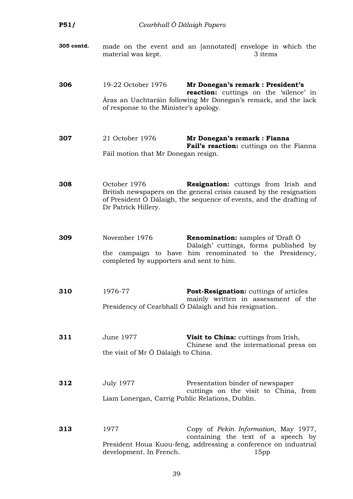| P51/       | Cearbhall Ó Dálaigh Papers                                          |                                                                                                                                                                                          |
|------------|---------------------------------------------------------------------|------------------------------------------------------------------------------------------------------------------------------------------------------------------------------------------|
| 305 contd. | material was kept.                                                  | made on the event and an [annotated] envelope in which the<br>3 items                                                                                                                    |
| 306        | 19-22 October 1976<br>of response to the Minister's apology.        | Mr Donegan's remark : President's<br>reaction: cuttings on the 'silence' in<br>Áras an Uachtaráin following Mr Donegan's remark, and the lack                                            |
| 307        | 21 October 1976<br>Fáil motion that Mr Donegan resign.              | Mr Donegan's remark : Fianna<br>Fail's reaction: cuttings on the Fianna                                                                                                                  |
| 308        | October 1976<br>Dr Patrick Hillery.                                 | <b>Resignation:</b> cuttings from Irish and<br>British newspapers on the general crisis caused by the resignation<br>of President Ó Dálaigh, the sequence of events, and the drafting of |
| 309        | November 1976<br>completed by supporters and sent to him.           | <b>Renomination:</b> samples of 'Draft O<br>Dálaigh' cuttings, forms published by<br>the campaign to have him renominated to the Presidency,                                             |
| 310        | 1976-77                                                             | Post-Resignation: cuttings of articles<br>mainly written in assessment of the<br>Presidency of Cearbhall Ó Dálaigh and his resignation.                                                  |
| 311        | June 1977<br>the visit of Mr Ó Dálaigh to China.                    | Visit to China: cuttings from Irish,<br>Chinese and the international press on                                                                                                           |
| 312        | <b>July 1977</b><br>Liam Lonergan, Carrig Public Relations, Dublin. | Presentation binder of newspaper<br>cuttings on the visit to China, from                                                                                                                 |
| 313        | 1977<br>development. In French.                                     | Copy of Pekin Information, May 1977,<br>containing the text of a speech by<br>President Houa Kuou-feng, addressing a conference on industrial<br>15 <sub>pp</sub>                        |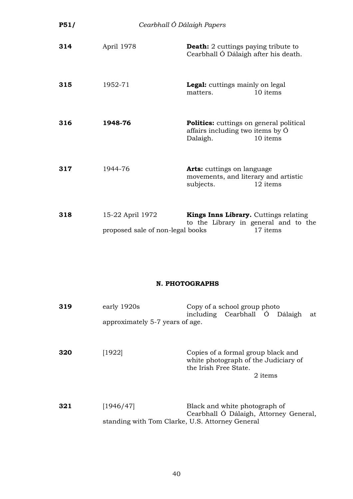| P51/ | Cearbhall Ó Dálaigh Papers                           |                                                                                                            |
|------|------------------------------------------------------|------------------------------------------------------------------------------------------------------------|
| 314  | April 1978                                           | <b>Death:</b> 2 cuttings paying tribute to<br>Cearbhall Ó Dálaigh after his death.                         |
| 315  | 1952-71                                              | <b>Legal:</b> cuttings mainly on legal<br>10 items<br>matters.                                             |
| 316  | 1948-76                                              | <b>Politics:</b> cuttings on general political<br>affairs including two items by O<br>10 items<br>Dalaigh. |
| 317  | 1944-76                                              | <b>Arts:</b> cuttings on language<br>movements, and literary and artistic<br>subjects.<br>12 items         |
| 318  | 15-22 April 1972<br>proposed sale of non-legal books | Kings Inns Library. Cuttings relating<br>to the Library in general and to the<br>17 items                  |

### **N. PHOTOGRAPHS**

| 319 | early 1920s<br>approximately 5-7 years of age.               | Copy of a school group photo<br>including Cearbhall Ó Dálaigh<br>at                                            |
|-----|--------------------------------------------------------------|----------------------------------------------------------------------------------------------------------------|
| 320 | [1922]                                                       | Copies of a formal group black and<br>white photograph of the Judiciary of<br>the Irish Free State.<br>2 items |
| 321 | [1946/47]<br>standing with Tom Clarke, U.S. Attorney General | Black and white photograph of<br>Cearbhall Ó Dálaigh, Attorney General,                                        |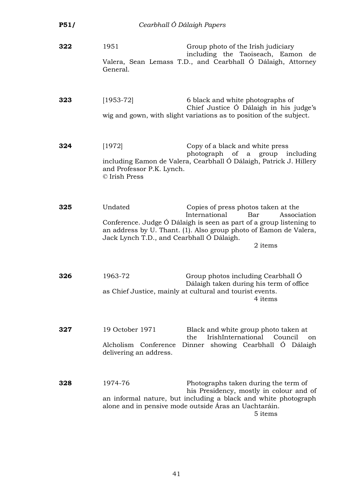| P51/ | Cearbhall Ó Dálaigh Papers                                        |                                                                                                                                                                                                                                   |
|------|-------------------------------------------------------------------|-----------------------------------------------------------------------------------------------------------------------------------------------------------------------------------------------------------------------------------|
| 322  | 1951<br>General.                                                  | Group photo of the Irish judiciary<br>including the Taoiseach, Eamon de<br>Valera, Sean Lemass T.D., and Cearbhall Ó Dálaigh, Attorney                                                                                            |
| 323  | $[1953-72]$                                                       | 6 black and white photographs of<br>Chief Justice Ó Dálaigh in his judge's<br>wig and gown, with slight variations as to position of the subject.                                                                                 |
| 324  | [1972]<br>and Professor P.K. Lynch.<br>© Irish Press              | Copy of a black and white press<br>photograph of<br>a group including<br>including Eamon de Valera, Cearbhall Ó Dálaigh, Patrick J. Hillery                                                                                       |
| 325  | Undated<br>Jack Lynch T.D., and Cearbhall Ó Dálaigh.              | Copies of press photos taken at the<br>International<br>Bar<br>Association<br>Conference. Judge Ó Dálaigh is seen as part of a group listening to<br>an address by U. Thant. (1). Also group photo of Eamon de Valera,<br>2 items |
| 326  | 1963-72                                                           | Group photos including Cearbhall O<br>Dálaigh taken during his term of office<br>as Chief Justice, mainly at cultural and tourist events.<br>4 items                                                                              |
| 327  | 19 October 1971<br>Alcholism Conference<br>delivering an address. | Black and white group photo taken at<br>IrishInternational<br>Council<br>the<br>on<br>Dinner showing Cearbhall Ó Dálaigh                                                                                                          |
| 328  | 1974-76                                                           | Photographs taken during the term of<br>his Presidency, mostly in colour and of<br>an informal nature, but including a black and white photograph<br>alone and in pensive mode outside Áras an Uachtaráin.<br>5 items             |